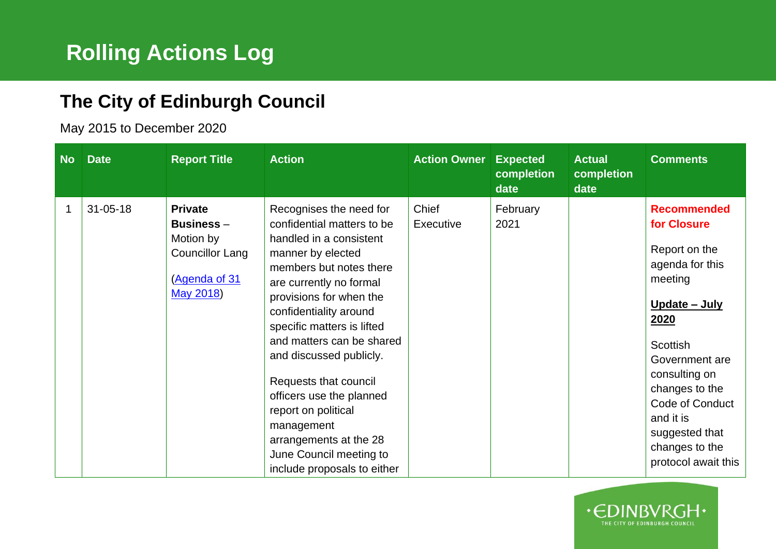## **The City of Edinburgh Council**

May 2015 to December 2020

| <b>No</b> | <b>Date</b>    | <b>Report Title</b>                                                                          | <b>Action</b>                                                                                                                                                                                                                                                                                                                                                                                                                                                                        | <b>Action Owner</b> | <b>Expected</b><br>completion<br>date | <b>Actual</b><br>completion<br>date | <b>Comments</b>                                                                                                                                                                                                                                                              |
|-----------|----------------|----------------------------------------------------------------------------------------------|--------------------------------------------------------------------------------------------------------------------------------------------------------------------------------------------------------------------------------------------------------------------------------------------------------------------------------------------------------------------------------------------------------------------------------------------------------------------------------------|---------------------|---------------------------------------|-------------------------------------|------------------------------------------------------------------------------------------------------------------------------------------------------------------------------------------------------------------------------------------------------------------------------|
|           | $31 - 05 - 18$ | <b>Private</b><br>Business $-$<br>Motion by<br>Councillor Lang<br>(Agenda of 31<br>May 2018) | Recognises the need for<br>confidential matters to be<br>handled in a consistent<br>manner by elected<br>members but notes there<br>are currently no formal<br>provisions for when the<br>confidentiality around<br>specific matters is lifted<br>and matters can be shared<br>and discussed publicly.<br>Requests that council<br>officers use the planned<br>report on political<br>management<br>arrangements at the 28<br>June Council meeting to<br>include proposals to either | Chief<br>Executive  | February<br>2021                      |                                     | <b>Recommended</b><br>for Closure<br>Report on the<br>agenda for this<br>meeting<br>Update - July<br>2020<br>Scottish<br>Government are<br>consulting on<br>changes to the<br><b>Code of Conduct</b><br>and it is<br>suggested that<br>changes to the<br>protocol await this |

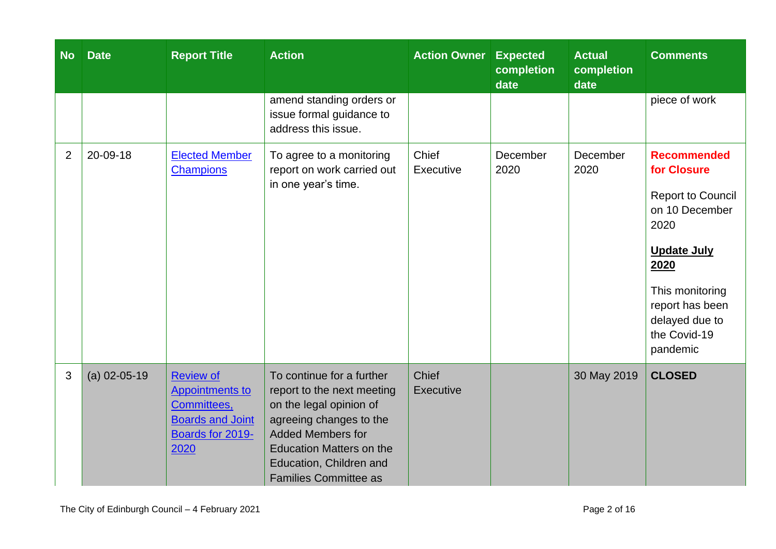| <b>No</b>      | <b>Date</b>    | <b>Report Title</b>                                                                                              | <b>Action</b>                                                                                                                                                                                                                           | <b>Action Owner</b>       | <b>Expected</b><br>completion<br>date | <b>Actual</b><br>completion<br>date | <b>Comments</b>                                                                                                                                                                                           |
|----------------|----------------|------------------------------------------------------------------------------------------------------------------|-----------------------------------------------------------------------------------------------------------------------------------------------------------------------------------------------------------------------------------------|---------------------------|---------------------------------------|-------------------------------------|-----------------------------------------------------------------------------------------------------------------------------------------------------------------------------------------------------------|
|                |                |                                                                                                                  | amend standing orders or<br>issue formal guidance to<br>address this issue.                                                                                                                                                             |                           |                                       |                                     | piece of work                                                                                                                                                                                             |
| $\overline{2}$ | 20-09-18       | <b>Elected Member</b><br><b>Champions</b>                                                                        | To agree to a monitoring<br>report on work carried out<br>in one year's time.                                                                                                                                                           | Chief<br>Executive        | December<br>2020                      | December<br>2020                    | <b>Recommended</b><br>for Closure<br><b>Report to Council</b><br>on 10 December<br>2020<br><b>Update July</b><br>2020<br>This monitoring<br>report has been<br>delayed due to<br>the Covid-19<br>pandemic |
| 3              | $(a)$ 02-05-19 | <b>Review of</b><br><b>Appointments to</b><br>Committees,<br><b>Boards and Joint</b><br>Boards for 2019-<br>2020 | To continue for a further<br>report to the next meeting<br>on the legal opinion of<br>agreeing changes to the<br><b>Added Members for</b><br><b>Education Matters on the</b><br>Education, Children and<br><b>Families Committee as</b> | <b>Chief</b><br>Executive |                                       | 30 May 2019                         | <b>CLOSED</b>                                                                                                                                                                                             |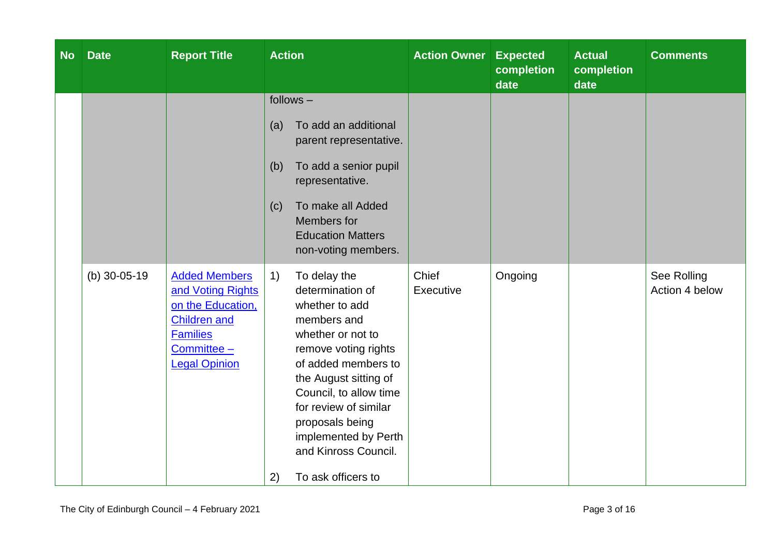| <b>No</b> | <b>Date</b>        | <b>Report Title</b>                                                                                                                               | <b>Action</b>                                                                                                                                                                                                                                                                                                                                                                                                                                                                                                                                                                               | <b>Action Owner</b> | <b>Expected</b><br>completion<br>date | <b>Actual</b><br>completion<br>date | <b>Comments</b>               |
|-----------|--------------------|---------------------------------------------------------------------------------------------------------------------------------------------------|---------------------------------------------------------------------------------------------------------------------------------------------------------------------------------------------------------------------------------------------------------------------------------------------------------------------------------------------------------------------------------------------------------------------------------------------------------------------------------------------------------------------------------------------------------------------------------------------|---------------------|---------------------------------------|-------------------------------------|-------------------------------|
|           | (b) $30 - 05 - 19$ | <b>Added Members</b><br>and Voting Rights<br>on the Education,<br><b>Children and</b><br><b>Families</b><br>$Committee -$<br><b>Legal Opinion</b> | $follows -$<br>To add an additional<br>(a)<br>parent representative.<br>To add a senior pupil<br>(b)<br>representative.<br>To make all Added<br>(c)<br>Members for<br><b>Education Matters</b><br>non-voting members.<br>To delay the<br>$\left( \begin{matrix} 1 \end{matrix} \right)$<br>determination of<br>whether to add<br>members and<br>whether or not to<br>remove voting rights<br>of added members to<br>the August sitting of<br>Council, to allow time<br>for review of similar<br>proposals being<br>implemented by Perth<br>and Kinross Council.<br>To ask officers to<br>2) | Chief<br>Executive  | Ongoing                               |                                     | See Rolling<br>Action 4 below |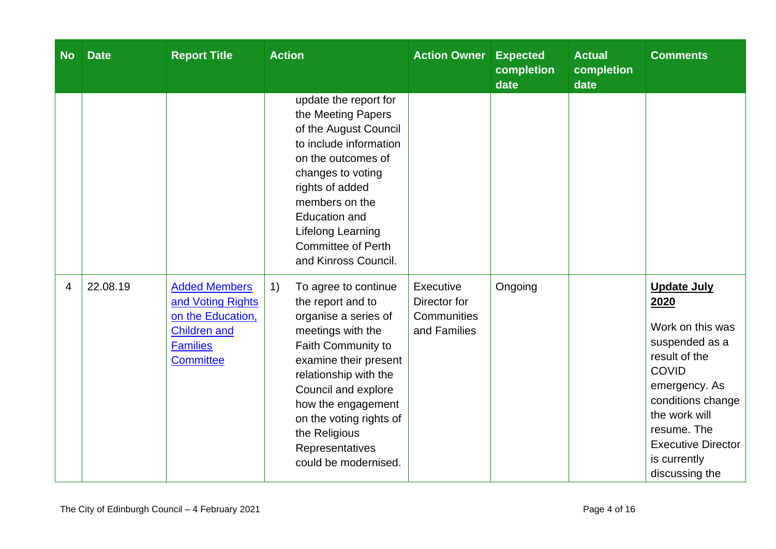| <b>No</b> | <b>Date</b> | <b>Report Title</b>                                                                                                          | <b>Action</b>                                                                                                                                                                                                                                                                                            | <b>Action Owner</b>                                      | <b>Expected</b><br>completion<br>date | <b>Actual</b><br>completion<br>date | <b>Comments</b>                                                                                                                                                                                                                        |
|-----------|-------------|------------------------------------------------------------------------------------------------------------------------------|----------------------------------------------------------------------------------------------------------------------------------------------------------------------------------------------------------------------------------------------------------------------------------------------------------|----------------------------------------------------------|---------------------------------------|-------------------------------------|----------------------------------------------------------------------------------------------------------------------------------------------------------------------------------------------------------------------------------------|
|           |             |                                                                                                                              | update the report for<br>the Meeting Papers<br>of the August Council<br>to include information<br>on the outcomes of<br>changes to voting<br>rights of added<br>members on the<br><b>Education and</b><br>Lifelong Learning<br><b>Committee of Perth</b><br>and Kinross Council.                         |                                                          |                                       |                                     |                                                                                                                                                                                                                                        |
| 4         | 22.08.19    | <b>Added Members</b><br>and Voting Rights<br>on the Education,<br><b>Children and</b><br><b>Families</b><br><b>Committee</b> | 1)<br>To agree to continue<br>the report and to<br>organise a series of<br>meetings with the<br>Faith Community to<br>examine their present<br>relationship with the<br>Council and explore<br>how the engagement<br>on the voting rights of<br>the Religious<br>Representatives<br>could be modernised. | Executive<br>Director for<br>Communities<br>and Families | Ongoing                               |                                     | <b>Update July</b><br>2020<br>Work on this was<br>suspended as a<br>result of the<br><b>COVID</b><br>emergency. As<br>conditions change<br>the work will<br>resume. The<br><b>Executive Director</b><br>is currently<br>discussing the |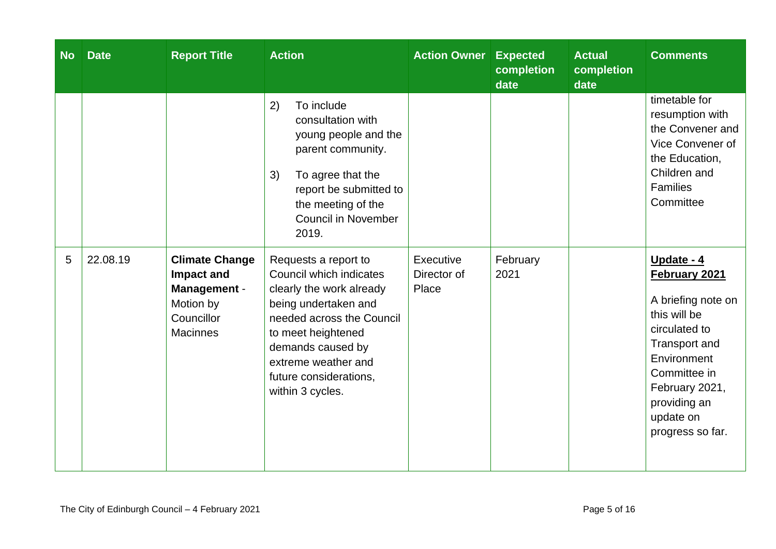| <b>No</b> | <b>Date</b> | <b>Report Title</b>                                                                               | <b>Action</b>                                                                                                                                                                                                                                    | <b>Action Owner Expected</b>      | completion<br>date | <b>Actual</b><br>completion<br>date | <b>Comments</b>                                                                                                                                                                                       |
|-----------|-------------|---------------------------------------------------------------------------------------------------|--------------------------------------------------------------------------------------------------------------------------------------------------------------------------------------------------------------------------------------------------|-----------------------------------|--------------------|-------------------------------------|-------------------------------------------------------------------------------------------------------------------------------------------------------------------------------------------------------|
|           |             |                                                                                                   | 2)<br>To include<br>consultation with<br>young people and the<br>parent community.<br>To agree that the<br>3)<br>report be submitted to<br>the meeting of the<br><b>Council in November</b><br>2019.                                             |                                   |                    |                                     | timetable for<br>resumption with<br>the Convener and<br>Vice Convener of<br>the Education,<br>Children and<br>Families<br>Committee                                                                   |
| 5         | 22.08.19    | <b>Climate Change</b><br>Impact and<br>Management -<br>Motion by<br>Councillor<br><b>Macinnes</b> | Requests a report to<br>Council which indicates<br>clearly the work already<br>being undertaken and<br>needed across the Council<br>to meet heightened<br>demands caused by<br>extreme weather and<br>future considerations,<br>within 3 cycles. | Executive<br>Director of<br>Place | February<br>2021   |                                     | Update - 4<br>February 2021<br>A briefing note on<br>this will be<br>circulated to<br>Transport and<br>Environment<br>Committee in<br>February 2021,<br>providing an<br>update on<br>progress so far. |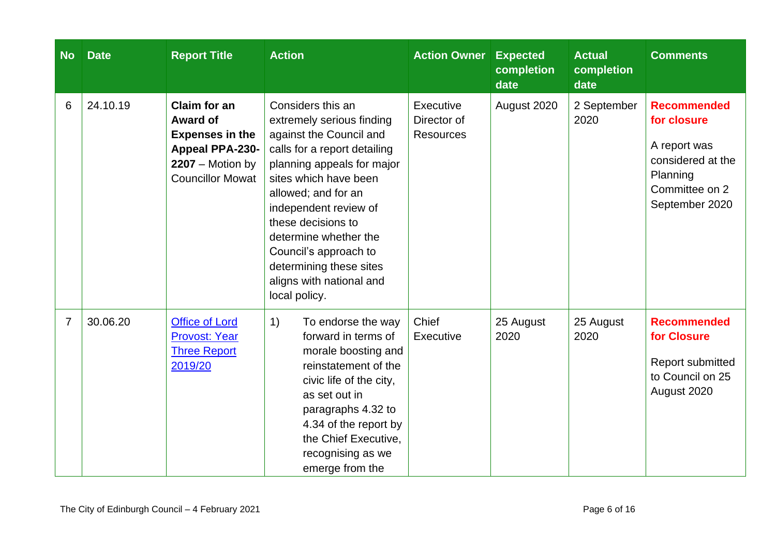| <b>No</b>      | <b>Date</b> | <b>Report Title</b>                                                                                                                  | <b>Action</b>                                                                                                                                                                                                                                                                                                                                                    | <b>Action Owner</b>                          | <b>Expected</b><br>completion<br>date | <b>Actual</b><br>completion<br>date | <b>Comments</b>                                                                                                        |
|----------------|-------------|--------------------------------------------------------------------------------------------------------------------------------------|------------------------------------------------------------------------------------------------------------------------------------------------------------------------------------------------------------------------------------------------------------------------------------------------------------------------------------------------------------------|----------------------------------------------|---------------------------------------|-------------------------------------|------------------------------------------------------------------------------------------------------------------------|
| 6              | 24.10.19    | Claim for an<br><b>Award of</b><br><b>Expenses in the</b><br><b>Appeal PPA-230-</b><br>$2207 - Motion$ by<br><b>Councillor Mowat</b> | Considers this an<br>extremely serious finding<br>against the Council and<br>calls for a report detailing<br>planning appeals for major<br>sites which have been<br>allowed; and for an<br>independent review of<br>these decisions to<br>determine whether the<br>Council's approach to<br>determining these sites<br>aligns with national and<br>local policy. | Executive<br>Director of<br><b>Resources</b> | August 2020                           | 2 September<br>2020                 | <b>Recommended</b><br>for closure<br>A report was<br>considered at the<br>Planning<br>Committee on 2<br>September 2020 |
| $\overline{7}$ | 30.06.20    | <b>Office of Lord</b><br><b>Provost: Year</b><br><b>Three Report</b><br>2019/20                                                      | 1)<br>To endorse the way<br>forward in terms of<br>morale boosting and<br>reinstatement of the<br>civic life of the city,<br>as set out in<br>paragraphs 4.32 to<br>4.34 of the report by<br>the Chief Executive,<br>recognising as we<br>emerge from the                                                                                                        | Chief<br>Executive                           | 25 August<br>2020                     | 25 August<br>2020                   | <b>Recommended</b><br>for Closure<br>Report submitted<br>to Council on 25<br>August 2020                               |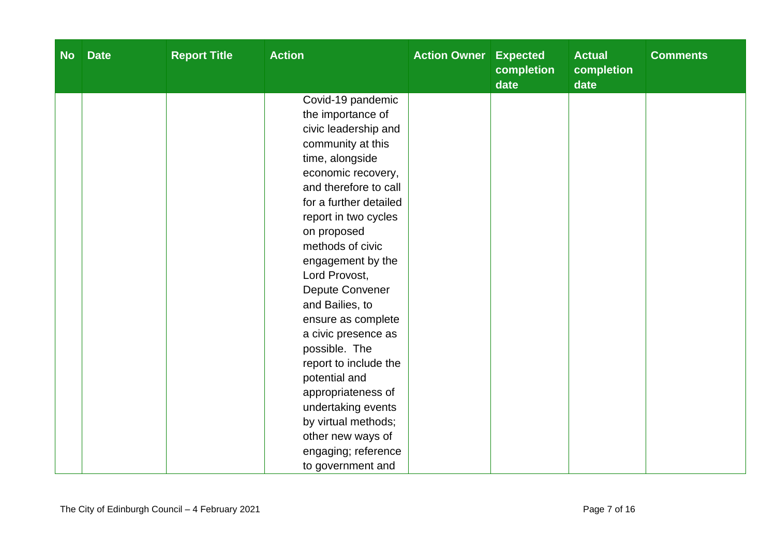| <b>No</b> | <b>Date</b> | <b>Report Title</b> | <b>Action</b>                      | <b>Action Owner</b> | <b>Expected</b><br>completion<br>date | <b>Actual</b><br><b>completion</b><br>date | <b>Comments</b> |
|-----------|-------------|---------------------|------------------------------------|---------------------|---------------------------------------|--------------------------------------------|-----------------|
|           |             |                     | Covid-19 pandemic                  |                     |                                       |                                            |                 |
|           |             |                     | the importance of                  |                     |                                       |                                            |                 |
|           |             |                     | civic leadership and               |                     |                                       |                                            |                 |
|           |             |                     | community at this                  |                     |                                       |                                            |                 |
|           |             |                     | time, alongside                    |                     |                                       |                                            |                 |
|           |             |                     | economic recovery,                 |                     |                                       |                                            |                 |
|           |             |                     | and therefore to call              |                     |                                       |                                            |                 |
|           |             |                     | for a further detailed             |                     |                                       |                                            |                 |
|           |             |                     | report in two cycles               |                     |                                       |                                            |                 |
|           |             |                     | on proposed                        |                     |                                       |                                            |                 |
|           |             |                     | methods of civic                   |                     |                                       |                                            |                 |
|           |             |                     | engagement by the                  |                     |                                       |                                            |                 |
|           |             |                     | Lord Provost,                      |                     |                                       |                                            |                 |
|           |             |                     | Depute Convener<br>and Bailies, to |                     |                                       |                                            |                 |
|           |             |                     | ensure as complete                 |                     |                                       |                                            |                 |
|           |             |                     | a civic presence as                |                     |                                       |                                            |                 |
|           |             |                     | possible. The                      |                     |                                       |                                            |                 |
|           |             |                     | report to include the              |                     |                                       |                                            |                 |
|           |             |                     | potential and                      |                     |                                       |                                            |                 |
|           |             |                     | appropriateness of                 |                     |                                       |                                            |                 |
|           |             |                     | undertaking events                 |                     |                                       |                                            |                 |
|           |             |                     | by virtual methods;                |                     |                                       |                                            |                 |
|           |             |                     | other new ways of                  |                     |                                       |                                            |                 |
|           |             |                     | engaging; reference                |                     |                                       |                                            |                 |
|           |             |                     | to government and                  |                     |                                       |                                            |                 |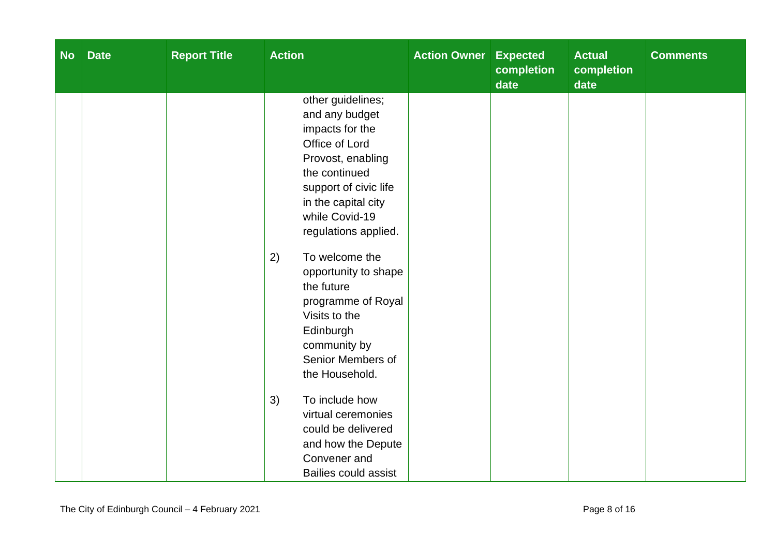| <b>No</b> | <b>Date</b> | <b>Report Title</b> | <b>Action</b>                                                                                                                                                                                                                                                                                                                                                                                                                   | <b>Action Owner Expected</b> | completion<br>date | <b>Actual</b><br>completion<br>date | <b>Comments</b> |
|-----------|-------------|---------------------|---------------------------------------------------------------------------------------------------------------------------------------------------------------------------------------------------------------------------------------------------------------------------------------------------------------------------------------------------------------------------------------------------------------------------------|------------------------------|--------------------|-------------------------------------|-----------------|
|           |             |                     | other guidelines;<br>and any budget<br>impacts for the<br>Office of Lord<br>Provost, enabling<br>the continued<br>support of civic life<br>in the capital city<br>while Covid-19<br>regulations applied.<br>To welcome the<br>2)<br>opportunity to shape<br>the future<br>programme of Royal<br>Visits to the<br>Edinburgh<br>community by<br>Senior Members of<br>the Household.<br>3)<br>To include how<br>virtual ceremonies |                              |                    |                                     |                 |
|           |             |                     | could be delivered<br>and how the Depute<br>Convener and<br><b>Bailies could assist</b>                                                                                                                                                                                                                                                                                                                                         |                              |                    |                                     |                 |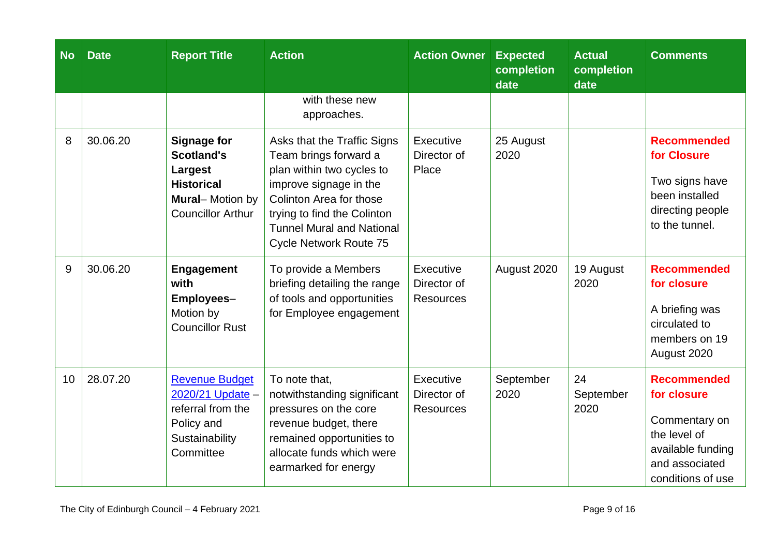| <b>No</b> | <b>Date</b> | <b>Report Title</b>                                                                                                           | <b>Action</b>                                                                                                                                                                                                                              | <b>Action Owner</b>                          | <b>Expected</b><br>completion<br>date | <b>Actual</b><br>completion<br>date | <b>Comments</b>                                                                                                                |
|-----------|-------------|-------------------------------------------------------------------------------------------------------------------------------|--------------------------------------------------------------------------------------------------------------------------------------------------------------------------------------------------------------------------------------------|----------------------------------------------|---------------------------------------|-------------------------------------|--------------------------------------------------------------------------------------------------------------------------------|
|           |             |                                                                                                                               | with these new<br>approaches.                                                                                                                                                                                                              |                                              |                                       |                                     |                                                                                                                                |
| 8         | 30.06.20    | <b>Signage for</b><br><b>Scotland's</b><br>Largest<br><b>Historical</b><br><b>Mural-Motion by</b><br><b>Councillor Arthur</b> | Asks that the Traffic Signs<br>Team brings forward a<br>plan within two cycles to<br>improve signage in the<br>Colinton Area for those<br>trying to find the Colinton<br><b>Tunnel Mural and National</b><br><b>Cycle Network Route 75</b> | Executive<br>Director of<br>Place            | 25 August<br>2020                     |                                     | <b>Recommended</b><br>for Closure<br>Two signs have<br>been installed<br>directing people<br>to the tunnel.                    |
| 9         | 30.06.20    | <b>Engagement</b><br>with<br>Employees-<br>Motion by<br><b>Councillor Rust</b>                                                | To provide a Members<br>briefing detailing the range<br>of tools and opportunities<br>for Employee engagement                                                                                                                              | Executive<br>Director of<br><b>Resources</b> | August 2020                           | 19 August<br>2020                   | <b>Recommended</b><br>for closure<br>A briefing was<br>circulated to<br>members on 19<br>August 2020                           |
| 10        | 28.07.20    | <b>Revenue Budget</b><br>2020/21 Update -<br>referral from the<br>Policy and<br>Sustainability<br>Committee                   | To note that,<br>notwithstanding significant<br>pressures on the core<br>revenue budget, there<br>remained opportunities to<br>allocate funds which were<br>earmarked for energy                                                           | Executive<br>Director of<br><b>Resources</b> | September<br>2020                     | 24<br>September<br>2020             | <b>Recommended</b><br>for closure<br>Commentary on<br>the level of<br>available funding<br>and associated<br>conditions of use |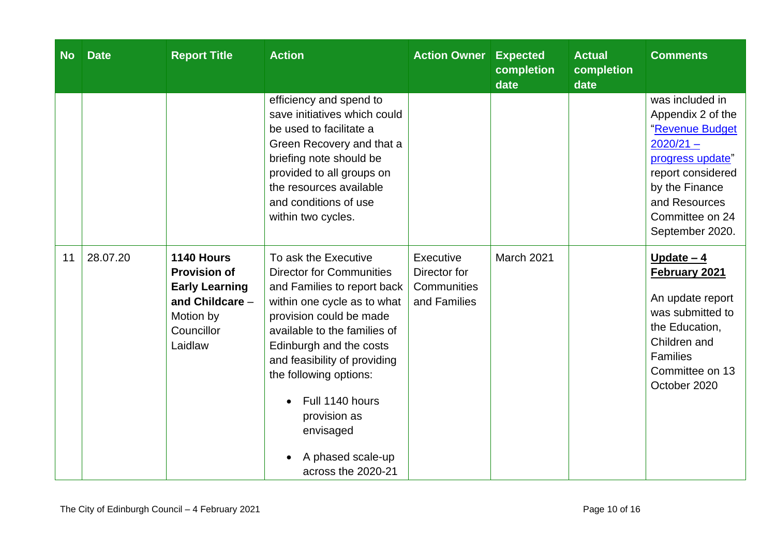| <b>No</b> | <b>Date</b> | <b>Report Title</b>                                                                                                   | <b>Action</b>                                                                                                                                                                                                                                                                                                                                                    | <b>Action Owner</b>                                      | <b>Expected</b><br>completion<br>date | <b>Actual</b><br>completion<br>date | <b>Comments</b>                                                                                                                                                                          |
|-----------|-------------|-----------------------------------------------------------------------------------------------------------------------|------------------------------------------------------------------------------------------------------------------------------------------------------------------------------------------------------------------------------------------------------------------------------------------------------------------------------------------------------------------|----------------------------------------------------------|---------------------------------------|-------------------------------------|------------------------------------------------------------------------------------------------------------------------------------------------------------------------------------------|
|           |             |                                                                                                                       | efficiency and spend to<br>save initiatives which could<br>be used to facilitate a<br>Green Recovery and that a<br>briefing note should be<br>provided to all groups on<br>the resources available<br>and conditions of use<br>within two cycles.                                                                                                                |                                                          |                                       |                                     | was included in<br>Appendix 2 of the<br>"Revenue Budget<br>$2020/21 -$<br>progress update"<br>report considered<br>by the Finance<br>and Resources<br>Committee on 24<br>September 2020. |
| 11        | 28.07.20    | 1140 Hours<br><b>Provision of</b><br><b>Early Learning</b><br>and Childcare $-$<br>Motion by<br>Councillor<br>Laidlaw | To ask the Executive<br><b>Director for Communities</b><br>and Families to report back<br>within one cycle as to what<br>provision could be made<br>available to the families of<br>Edinburgh and the costs<br>and feasibility of providing<br>the following options:<br>Full 1140 hours<br>provision as<br>envisaged<br>A phased scale-up<br>across the 2020-21 | Executive<br>Director for<br>Communities<br>and Families | March 2021                            |                                     | Update $-4$<br>February 2021<br>An update report<br>was submitted to<br>the Education,<br>Children and<br>Families<br>Committee on 13<br>October 2020                                    |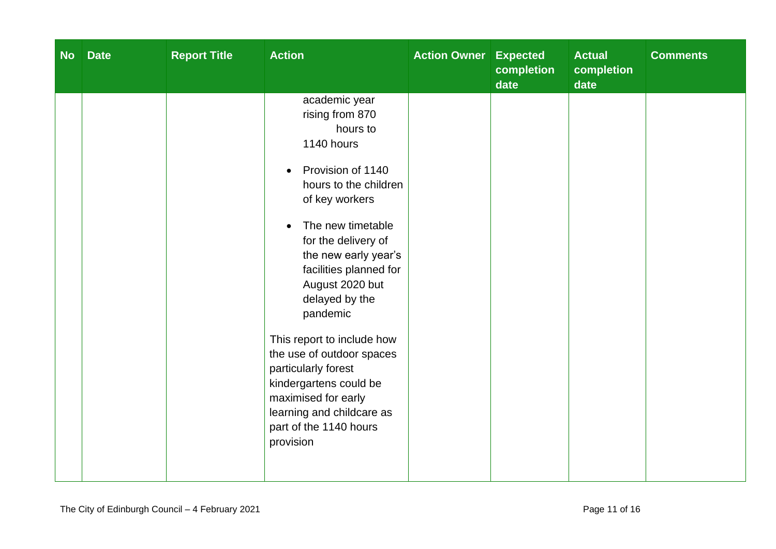| <b>No</b> | <b>Date</b> | <b>Report Title</b> | <b>Action</b>                                                                                                                                                                                                                                                                                                                                                                                                                                                                                 | <b>Action Owner Expected</b> | completion<br>date | <b>Actual</b><br>completion<br>date | <b>Comments</b> |
|-----------|-------------|---------------------|-----------------------------------------------------------------------------------------------------------------------------------------------------------------------------------------------------------------------------------------------------------------------------------------------------------------------------------------------------------------------------------------------------------------------------------------------------------------------------------------------|------------------------------|--------------------|-------------------------------------|-----------------|
|           |             |                     | academic year<br>rising from 870<br>hours to<br>1140 hours<br>Provision of 1140<br>$\bullet$<br>hours to the children<br>of key workers<br>The new timetable<br>for the delivery of<br>the new early year's<br>facilities planned for<br>August 2020 but<br>delayed by the<br>pandemic<br>This report to include how<br>the use of outdoor spaces<br>particularly forest<br>kindergartens could be<br>maximised for early<br>learning and childcare as<br>part of the 1140 hours<br>provision |                              |                    |                                     |                 |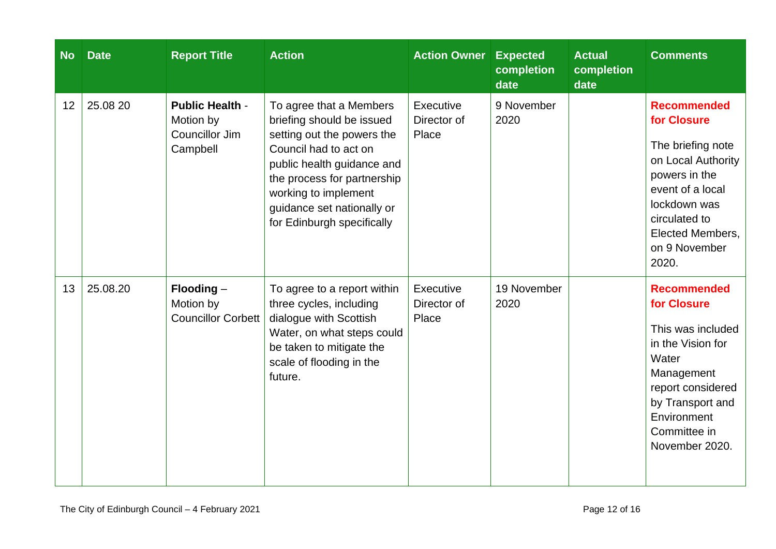| <b>No</b> | <b>Date</b> | <b>Report Title</b>                                                      | <b>Action</b>                                                                                                                                                                                                                                                | <b>Action Owner</b>               | <b>Expected</b><br>completion<br>date | <b>Actual</b><br>completion<br>date | <b>Comments</b>                                                                                                                                                                                  |
|-----------|-------------|--------------------------------------------------------------------------|--------------------------------------------------------------------------------------------------------------------------------------------------------------------------------------------------------------------------------------------------------------|-----------------------------------|---------------------------------------|-------------------------------------|--------------------------------------------------------------------------------------------------------------------------------------------------------------------------------------------------|
| 12        | 25.08 20    | <b>Public Health -</b><br>Motion by<br><b>Councillor Jim</b><br>Campbell | To agree that a Members<br>briefing should be issued<br>setting out the powers the<br>Council had to act on<br>public health guidance and<br>the process for partnership<br>working to implement<br>guidance set nationally or<br>for Edinburgh specifically | Executive<br>Director of<br>Place | 9 November<br>2020                    |                                     | <b>Recommended</b><br>for Closure<br>The briefing note<br>on Local Authority<br>powers in the<br>event of a local<br>lockdown was<br>circulated to<br>Elected Members,<br>on 9 November<br>2020. |
| 13        | 25.08.20    | $F$ looding $-$<br>Motion by<br><b>Councillor Corbett</b>                | To agree to a report within<br>three cycles, including<br>dialogue with Scottish<br>Water, on what steps could<br>be taken to mitigate the<br>scale of flooding in the<br>future.                                                                            | Executive<br>Director of<br>Place | 19 November<br>2020                   |                                     | <b>Recommended</b><br>for Closure<br>This was included<br>in the Vision for<br>Water<br>Management<br>report considered<br>by Transport and<br>Environment<br>Committee in<br>November 2020.     |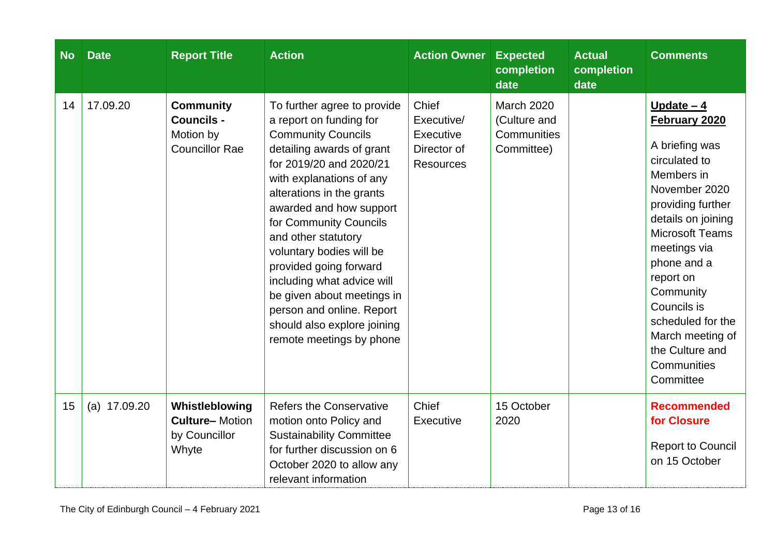| <b>No</b> | <b>Date</b>    | <b>Report Title</b>                                                         | <b>Action</b>                                                                                                                                                                                                                                                                                                                                                                                                                                                                              | <b>Action Owner</b>                                                 | <b>Expected</b><br>completion<br>date                          | <b>Actual</b><br>completion<br>date | <b>Comments</b>                                                                                                                                                                                                                                                                                                                     |
|-----------|----------------|-----------------------------------------------------------------------------|--------------------------------------------------------------------------------------------------------------------------------------------------------------------------------------------------------------------------------------------------------------------------------------------------------------------------------------------------------------------------------------------------------------------------------------------------------------------------------------------|---------------------------------------------------------------------|----------------------------------------------------------------|-------------------------------------|-------------------------------------------------------------------------------------------------------------------------------------------------------------------------------------------------------------------------------------------------------------------------------------------------------------------------------------|
| 14        | 17.09.20       | <b>Community</b><br><b>Councils -</b><br>Motion by<br><b>Councillor Rae</b> | To further agree to provide<br>a report on funding for<br><b>Community Councils</b><br>detailing awards of grant<br>for 2019/20 and 2020/21<br>with explanations of any<br>alterations in the grants<br>awarded and how support<br>for Community Councils<br>and other statutory<br>voluntary bodies will be<br>provided going forward<br>including what advice will<br>be given about meetings in<br>person and online. Report<br>should also explore joining<br>remote meetings by phone | Chief<br>Executive/<br>Executive<br>Director of<br><b>Resources</b> | <b>March 2020</b><br>(Culture and<br>Communities<br>Committee) |                                     | Update $-4$<br>February 2020<br>A briefing was<br>circulated to<br>Members in<br>November 2020<br>providing further<br>details on joining<br><b>Microsoft Teams</b><br>meetings via<br>phone and a<br>report on<br>Community<br>Councils is<br>scheduled for the<br>March meeting of<br>the Culture and<br>Communities<br>Committee |
| 15        | (a) $17.09.20$ | Whistleblowing<br><b>Culture-Motion</b><br>by Councillor<br>Whyte           | <b>Refers the Conservative</b><br>motion onto Policy and<br><b>Sustainability Committee</b><br>for further discussion on 6<br>October 2020 to allow any<br>relevant information                                                                                                                                                                                                                                                                                                            | Chief<br>Executive                                                  | 15 October<br>2020                                             |                                     | <b>Recommended</b><br>for Closure<br><b>Report to Council</b><br>on 15 October                                                                                                                                                                                                                                                      |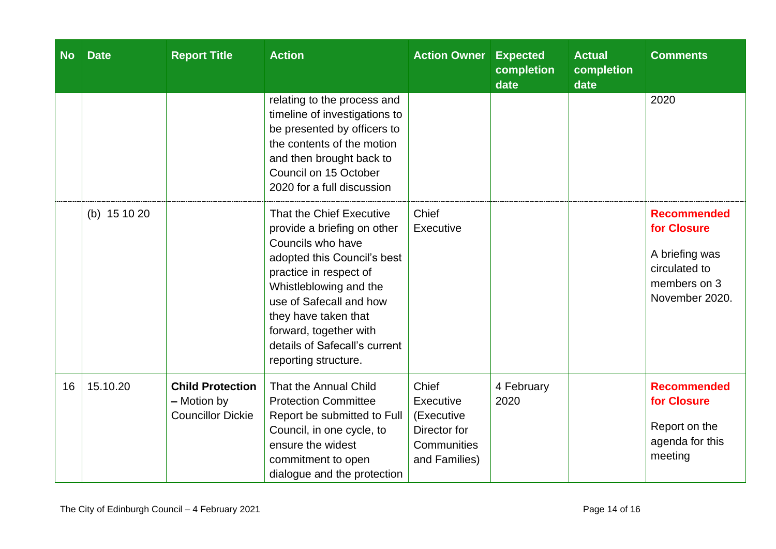| <b>No</b> | <b>Date</b>  | <b>Report Title</b>                                                | <b>Action</b>                                                                                                                                                                                                                                                                                         | <b>Action Owner</b>                                                              | <b>Expected</b><br>completion<br>date | <b>Actual</b><br>completion<br>date | <b>Comments</b>                                                                                        |
|-----------|--------------|--------------------------------------------------------------------|-------------------------------------------------------------------------------------------------------------------------------------------------------------------------------------------------------------------------------------------------------------------------------------------------------|----------------------------------------------------------------------------------|---------------------------------------|-------------------------------------|--------------------------------------------------------------------------------------------------------|
|           |              |                                                                    | relating to the process and<br>timeline of investigations to<br>be presented by officers to<br>the contents of the motion<br>and then brought back to<br>Council on 15 October<br>2020 for a full discussion                                                                                          |                                                                                  |                                       |                                     | 2020                                                                                                   |
|           | (b) 15 10 20 |                                                                    | That the Chief Executive<br>provide a briefing on other<br>Councils who have<br>adopted this Council's best<br>practice in respect of<br>Whistleblowing and the<br>use of Safecall and how<br>they have taken that<br>forward, together with<br>details of Safecall's current<br>reporting structure. | Chief<br>Executive                                                               |                                       |                                     | <b>Recommended</b><br>for Closure<br>A briefing was<br>circulated to<br>members on 3<br>November 2020. |
| 16        | 15.10.20     | <b>Child Protection</b><br>- Motion by<br><b>Councillor Dickie</b> | That the Annual Child<br><b>Protection Committee</b><br>Report be submitted to Full<br>Council, in one cycle, to<br>ensure the widest<br>commitment to open<br>dialogue and the protection                                                                                                            | Chief<br>Executive<br>(Executive<br>Director for<br>Communities<br>and Families) | 4 February<br>2020                    |                                     | <b>Recommended</b><br>for Closure<br>Report on the<br>agenda for this<br>meeting                       |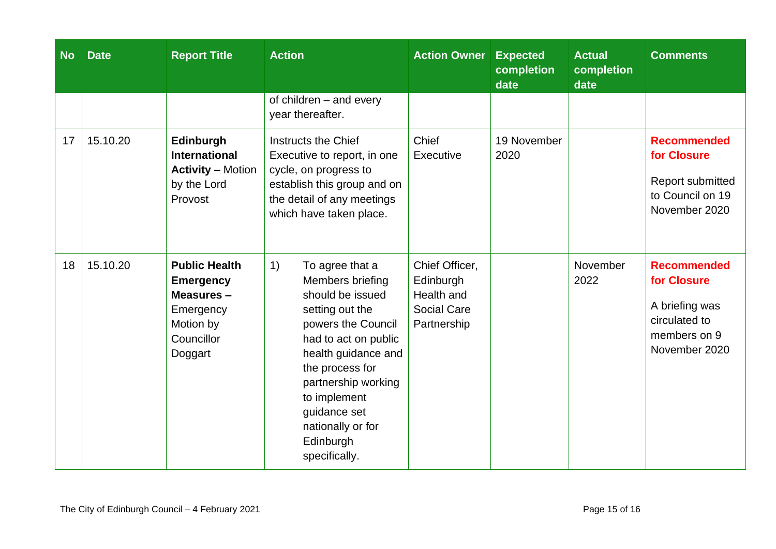| <b>No</b> | <b>Date</b> | <b>Report Title</b>                                                                                      | <b>Action</b>                                                                                                                                                                                                                                                                      | <b>Action Owner</b>                                                            | <b>Expected</b><br>completion<br>date | <b>Actual</b><br>completion<br>date | <b>Comments</b>                                                                                       |
|-----------|-------------|----------------------------------------------------------------------------------------------------------|------------------------------------------------------------------------------------------------------------------------------------------------------------------------------------------------------------------------------------------------------------------------------------|--------------------------------------------------------------------------------|---------------------------------------|-------------------------------------|-------------------------------------------------------------------------------------------------------|
|           |             |                                                                                                          | of children - and every<br>year thereafter.                                                                                                                                                                                                                                        |                                                                                |                                       |                                     |                                                                                                       |
| 17        | 15.10.20    | Edinburgh<br><b>International</b><br><b>Activity – Motion</b><br>by the Lord<br>Provost                  | Instructs the Chief<br>Executive to report, in one<br>cycle, on progress to<br>establish this group and on<br>the detail of any meetings<br>which have taken place.                                                                                                                | Chief<br>Executive                                                             | 19 November<br>2020                   |                                     | <b>Recommended</b><br>for Closure<br>Report submitted<br>to Council on 19<br>November 2020            |
| 18        | 15.10.20    | <b>Public Health</b><br><b>Emergency</b><br>Measures-<br>Emergency<br>Motion by<br>Councillor<br>Doggart | 1)<br>To agree that a<br>Members briefing<br>should be issued<br>setting out the<br>powers the Council<br>had to act on public<br>health guidance and<br>the process for<br>partnership working<br>to implement<br>guidance set<br>nationally or for<br>Edinburgh<br>specifically. | Chief Officer,<br>Edinburgh<br>Health and<br><b>Social Care</b><br>Partnership |                                       | November<br>2022                    | <b>Recommended</b><br>for Closure<br>A briefing was<br>circulated to<br>members on 9<br>November 2020 |